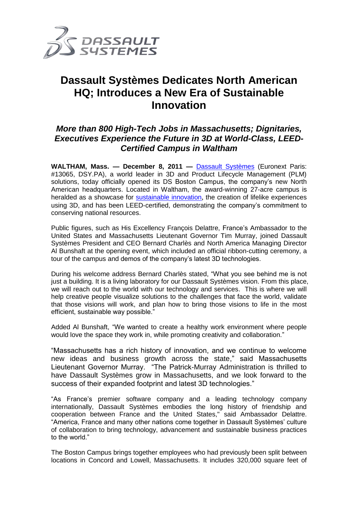

# **Dassault Systèmes Dedicates North American HQ; Introduces a New Era of Sustainable Innovation**

## *More than 800 High-Tech Jobs in Massachusetts; Dignitaries, Executives Experience the Future in 3D at World-Class, LEED-Certified Campus in Waltham*

**WALTHAM, Mass. — December 8, 2011 —** [Dassault Systèmes](http://www.3ds.com/) (Euronext Paris: #13065, DSY.PA), a world leader in 3D and Product Lifecycle Management (PLM) solutions, today officially opened its DS Boston Campus, the company's new North American headquarters. Located in Waltham, the award-winning 27-acre campus is heralded as a showcase for [sustainable innovation](http://www.3ds.com/contactmag/en/focus/sustainable-innovation-supporting-people-planet-and-profit), the creation of lifelike experiences using 3D, and has been LEED-certified, demonstrating the company's commitment to conserving national resources.

Public figures, such as His Excellency François Delattre, France's Ambassador to the United States and Massachusetts Lieutenant Governor Tim Murray, joined Dassault Systèmes President and CEO Bernard Charlès and North America Managing Director Al Bunshaft at the opening event, which included an official ribbon-cutting ceremony, a tour of the campus and demos of the company's latest 3D technologies.

During his welcome address Bernard Charlès stated, "What you see behind me is not just a building. It is a living laboratory for our Dassault Systèmes vision. From this place, we will reach out to the world with our technology and services. This is where we will help creative people visualize solutions to the challenges that face the world, validate that those visions will work, and plan how to bring those visions to life in the most efficient, sustainable way possible."

Added Al Bunshaft, "We wanted to create a healthy work environment where people would love the space they work in, while promoting creativity and collaboration."

"Massachusetts has a rich history of innovation, and we continue to welcome new ideas and business growth across the state," said Massachusetts Lieutenant Governor Murray. "The Patrick-Murray Administration is thrilled to have Dassault Systèmes grow in Massachusetts, and we look forward to the success of their expanded footprint and latest 3D technologies."

"As France's premier software company and a leading technology company internationally, Dassault Systèmes embodies the long history of friendship and cooperation between France and the United States," said Ambassador Delattre. "America, France and many other nations come together in Dassault Systèmes' culture of collaboration to bring technology, advancement and sustainable business practices to the world."

The Boston Campus brings together employees who had previously been split between locations in Concord and Lowell, Massachusetts. It includes 320,000 square feet of